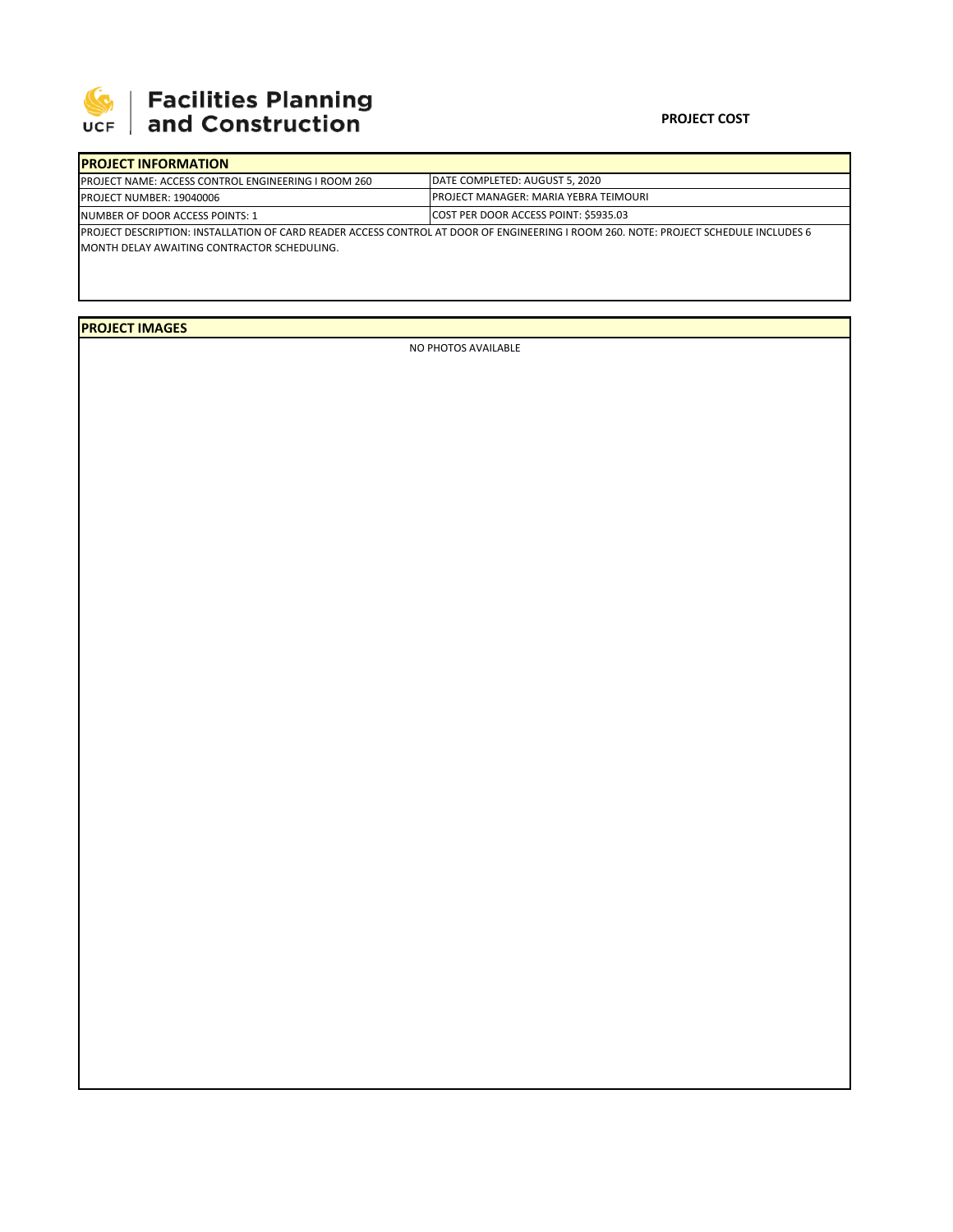

## **SEPTE AND Facilities Planning**<br>UCF and Construction

## **PROJECT COST**

| <b>IPROJECT INFORMATION</b>                                                                                                                  |                                                                                                                                 |  |  |  |  |  |
|----------------------------------------------------------------------------------------------------------------------------------------------|---------------------------------------------------------------------------------------------------------------------------------|--|--|--|--|--|
| <b>IPROJECT NAME: ACCESS CONTROL ENGINEERING I ROOM 260</b>                                                                                  | DATE COMPLETED: AUGUST 5, 2020<br><b>IPROJECT MANAGER: MARIA YEBRA TEIMOURI</b><br><b>COST PER DOOR ACCESS POINT: \$5935.03</b> |  |  |  |  |  |
| <b>PROJECT NUMBER: 19040006</b>                                                                                                              |                                                                                                                                 |  |  |  |  |  |
| INUMBER OF DOOR ACCESS POINTS: 1                                                                                                             |                                                                                                                                 |  |  |  |  |  |
| <b>IPROJECT DESCRIPTION: INSTALLATION OF CARD READER ACCESS CONTROL AT DOOR OF ENGINEERING I ROOM 260. NOTE: PROJECT SCHEDULE INCLUDES 6</b> |                                                                                                                                 |  |  |  |  |  |
| <b>IMONTH DELAY AWAITING CONTRACTOR SCHEDULING.</b>                                                                                          |                                                                                                                                 |  |  |  |  |  |
|                                                                                                                                              |                                                                                                                                 |  |  |  |  |  |

**PROJECT IMAGES**

NO PHOTOS AVAILABLE